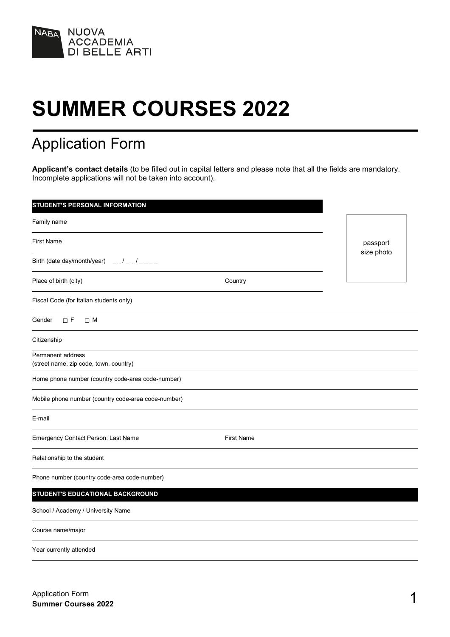

# **SUMMER COURSES 2022**

## Application Form

**Applicant's contact details** (to be filled out in capital letters and please note that all the fields are mandatory. Incomplete applications will not be taken into account).

| <b>STUDENT'S PERSONAL INFORMATION</b>                                               |                   |            |
|-------------------------------------------------------------------------------------|-------------------|------------|
| Family name                                                                         |                   |            |
| First Name                                                                          |                   | passport   |
| Birth (date day/month/year) $\frac{1}{2} - \frac{1}{2} - \frac{1}{2} = \frac{1}{2}$ |                   | size photo |
| Place of birth (city)                                                               | Country           |            |
| Fiscal Code (for Italian students only)                                             |                   |            |
| Gender<br>$\Box$ F<br>$\Box$ M                                                      |                   |            |
| Citizenship                                                                         |                   |            |
| Permanent address<br>(street name, zip code, town, country)                         |                   |            |
| Home phone number (country code-area code-number)                                   |                   |            |
| Mobile phone number (country code-area code-number)                                 |                   |            |
| E-mail                                                                              |                   |            |
| Emergency Contact Person: Last Name                                                 | <b>First Name</b> |            |
| Relationship to the student                                                         |                   |            |
| Phone number (country code-area code-number)                                        |                   |            |
| <b>STUDENT'S EDUCATIONAL BACKGROUND</b>                                             |                   |            |
| School / Academy / University Name                                                  |                   |            |
| Course name/major                                                                   |                   |            |
| Year currently attended                                                             |                   |            |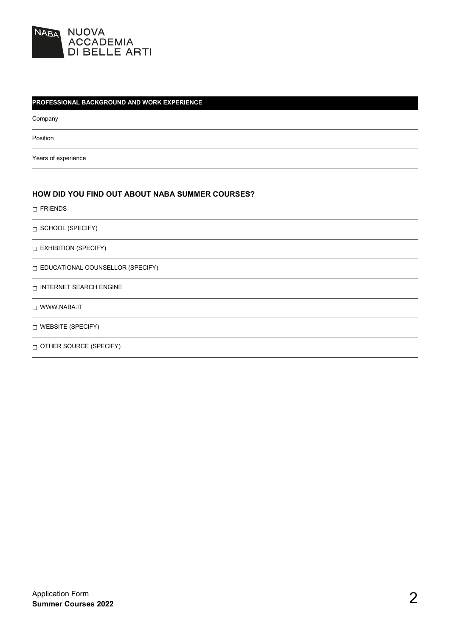

#### **PROFESSIONAL BACKGROUND AND WORK EXPERIENCE**

Company

Position

Years of experience

#### **HOW DID YOU FIND OUT ABOUT NABA SUMMER COURSES?**

□ FRIENDS

□ SCHOOL (SPECIFY)

□ EXHIBITION (SPECIFY)

□ EDUCATIONAL COUNSELLOR (SPECIFY)

 $\hfill\Box$  INTERNET SEARCH ENGINE

□ WWW.NABA.IT

□ WEBSITE (SPECIFY)

□ OTHER SOURCE (SPECIFY)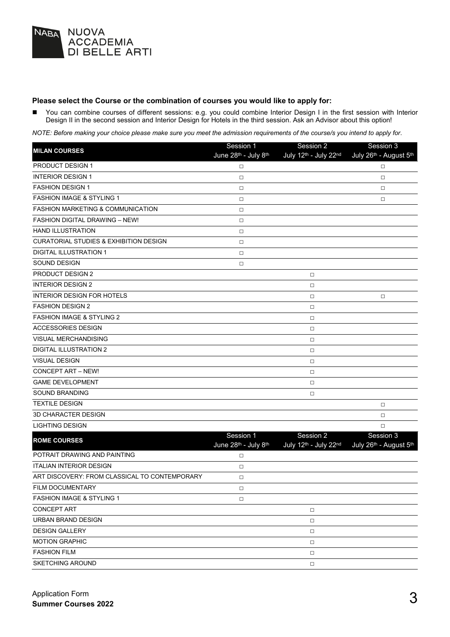

#### **Please select the Course or the combination of courses you would like to apply for:**

■ You can combine courses of different sessions: e.g. you could combine Interior Design I in the first session with Interior Design II in the second session and Interior Design for Hotels in the third session. Ask an Advisor about this option!

*NOTE: Before making your choice please make sure you meet the admission requirements of the course/s you intend to apply for*.

| <b>MILAN COURSES</b>                              | Session 1                         | Session 2                          | Session 3                           |
|---------------------------------------------------|-----------------------------------|------------------------------------|-------------------------------------|
|                                                   | June 28th - July 8th              | July 12th - July 22nd              | July 26th - August 5th              |
| PRODUCT DESIGN 1                                  | $\Box$                            |                                    | □                                   |
| <b>INTERIOR DESIGN 1</b>                          | $\Box$                            |                                    | $\Box$                              |
| <b>FASHION DESIGN 1</b>                           | $\Box$                            |                                    | $\Box$                              |
| <b>FASHION IMAGE &amp; STYLING 1</b>              | $\Box$                            |                                    | $\Box$                              |
| <b>FASHION MARKETING &amp; COMMUNICATION</b>      | $\Box$                            |                                    |                                     |
| <b>FASHION DIGITAL DRAWING - NEW!</b>             | $\Box$                            |                                    |                                     |
| <b>HAND ILLUSTRATION</b>                          | $\Box$                            |                                    |                                     |
| <b>CURATORIAL STUDIES &amp; EXHIBITION DESIGN</b> | $\Box$                            |                                    |                                     |
| <b>DIGITAL ILLUSTRATION 1</b>                     | $\Box$                            |                                    |                                     |
| SOUND DESIGN                                      | $\Box$                            |                                    |                                     |
| <b>PRODUCT DESIGN 2</b>                           |                                   | □                                  |                                     |
| <b>INTERIOR DESIGN 2</b>                          |                                   | □                                  |                                     |
| <b>INTERIOR DESIGN FOR HOTELS</b>                 |                                   | □                                  | $\Box$                              |
| <b>FASHION DESIGN 2</b>                           |                                   | $\Box$                             |                                     |
| <b>FASHION IMAGE &amp; STYLING 2</b>              |                                   | $\Box$                             |                                     |
| <b>ACCESSORIES DESIGN</b>                         |                                   | $\Box$                             |                                     |
| <b>VISUAL MERCHANDISING</b>                       |                                   | $\Box$                             |                                     |
| <b>DIGITAL ILLUSTRATION 2</b>                     |                                   | $\Box$                             |                                     |
| <b>VISUAL DESIGN</b>                              |                                   | $\Box$                             |                                     |
| <b>CONCEPT ART - NEW!</b>                         |                                   | $\Box$                             |                                     |
| <b>GAME DEVELOPMENT</b>                           |                                   | $\Box$                             |                                     |
| <b>SOUND BRANDING</b>                             |                                   | $\Box$                             |                                     |
| <b>TEXTILE DESIGN</b>                             |                                   |                                    | $\Box$                              |
| <b>3D CHARACTER DESIGN</b>                        |                                   |                                    | $\Box$                              |
| <b>LIGHTING DESIGN</b>                            |                                   |                                    | $\Box$                              |
| <b>ROME COURSES</b>                               | Session 1<br>June 28th - July 8th | Session 2<br>July 12th - July 22nd | Session 3<br>July 26th - August 5th |
| POTRAIT DRAWING AND PAINTING                      | $\Box$                            |                                    |                                     |
| <b>ITALIAN INTERIOR DESIGN</b>                    | $\Box$                            |                                    |                                     |
| ART DISCOVERY: FROM CLASSICAL TO CONTEMPORARY     | $\Box$                            |                                    |                                     |
| FILM DOCUMENTARY                                  | $\Box$                            |                                    |                                     |
| <b>FASHION IMAGE &amp; STYLING 1</b>              | $\Box$                            |                                    |                                     |
| <b>CONCEPT ART</b>                                |                                   | $\Box$                             |                                     |
| URBAN BRAND DESIGN                                |                                   | $\Box$                             |                                     |
| <b>DESIGN GALLERY</b>                             |                                   | $\Box$                             |                                     |
| <b>MOTION GRAPHIC</b>                             |                                   | $\Box$                             |                                     |
| <b>FASHION FILM</b>                               |                                   | $\Box$                             |                                     |
| <b>SKETCHING AROUND</b>                           |                                   | $\Box$                             |                                     |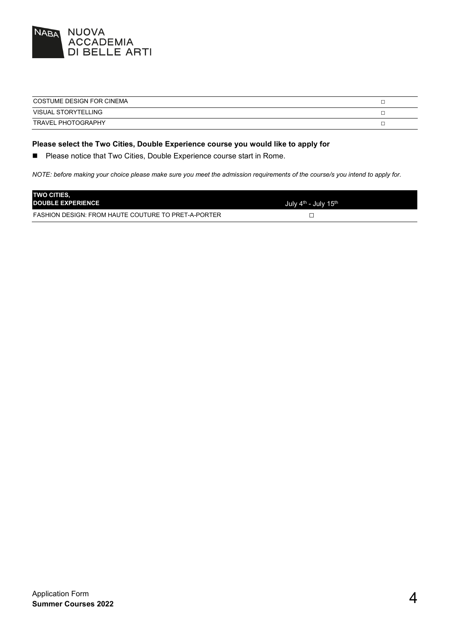

| COSTUME DESIGN FOR CINEMA |  |
|---------------------------|--|
| VISUAL STORYTELLING       |  |
| <b>TRAVEL PHOTOGRAPHY</b> |  |

#### **Please select the Two Cities, Double Experience course you would like to apply for**

**Please notice that Two Cities, Double Experience course start in Rome.** 

*NOTE: before making your choice please make sure you meet the admission requirements of the course/s you intend to apply for.*

| <b>TWO CITIES.</b><br><b>DOUBLE EXPERIENCE</b>             | July 4 <sup>th</sup> - July 15 <sup>th</sup> |
|------------------------------------------------------------|----------------------------------------------|
| <b>FASHION DESIGN: FROM HAUTE COUTURE TO PRET-A-PORTER</b> |                                              |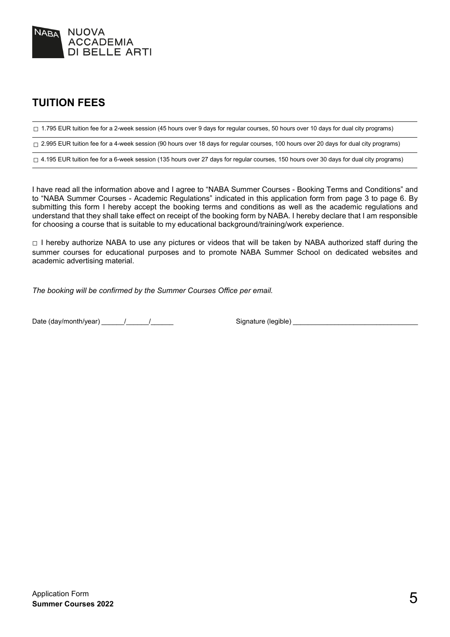

## **TUITION FEES**

□ 1.795 EUR tuition fee for a 2-week session (45 hours over 9 days for regular courses, 50 hours over 10 days for dual city programs)

□ 2.995 EUR tuition fee for a 4-week session (90 hours over 18 days for regular courses, 100 hours over 20 days for dual city programs)

 $\Box$  4.195 EUR tuition fee for a 6-week session (135 hours over 27 days for regular courses, 150 hours over 30 days for dual city programs)

I have read all the information above and I agree to "NABA Summer Courses - Booking Terms and Conditions" and to "NABA Summer Courses - Academic Regulations" indicated in this application form from page 3 to page 6. By submitting this form I hereby accept the booking terms and conditions as well as the academic regulations and understand that they shall take effect on receipt of the booking form by NABA. I hereby declare that I am responsible for choosing a course that is suitable to my educational background/training/work experience.

 $\Box$  I hereby authorize NABA to use any pictures or videos that will be taken by NABA authorized staff during the summer courses for educational purposes and to promote NABA Summer School on dedicated websites and academic advertising material.

*The booking will be confirmed by the Summer Courses Office per email.*

Date (day/month/year) \_\_\_\_\_\_/\_\_\_\_\_\_/\_\_\_\_\_\_ Signature (legible) \_\_\_\_\_\_\_\_\_\_\_\_\_\_\_\_\_\_\_\_\_\_\_\_\_\_\_\_\_\_\_\_\_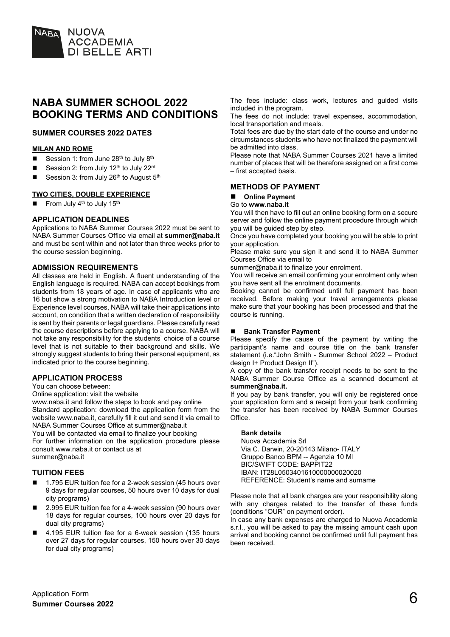

## **NABA SUMMER SCHOOL 2022 BOOKING TERMS AND CONDITIONS**

#### **SUMMER COURSES 2022 DATES**

#### **MILAN AND ROME**

- Session 1: from June  $28<sup>th</sup>$  to July  $8<sup>th</sup>$
- Session 2: from July 12th to July 22rd
- Session 3: from July 26th to August 5th

#### **TWO CITIES, DOUBLE EXPERIENCE**

From July 4<sup>th</sup> to July 15<sup>th</sup>

#### **APPLICATION DEADLINES**

Applications to NABA Summer Courses 2022 must be sent to NABA Summer Courses Office via email at **summer@naba.it** and must be sent within and not later than three weeks prior to the course session beginning.

#### **ADMISSION REQUIREMENTS**

All classes are held in English. A fluent understanding of the English language is required. NABA can accept bookings from students from 18 years of age. In case of applicants who are 16 but show a strong motivation to NABA Introduction level or Experience level courses, NABA will take their applications into account, on condition that a written declaration of responsibility is sent by their parents or legal guardians. Please carefully read the course descriptions before applying to a course. NABA will not take any responsibility for the students' choice of a course level that is not suitable to their background and skills. We strongly suggest students to bring their personal equipment, as indicated prior to the course beginning.

#### **APPLICATION PROCESS**

You can choose between:

Online application: visit the website

www.naba.it and follow the steps to book and pay online Standard application: download the application form from the website www.naba.it, carefully fill it out and send it via email to NABA Summer Courses Office at summer@naba.it You will be contacted via email to finalize your booking

For further information on the application procedure please consult www.naba.it or contact us at summer@naba.it

#### **TUITION FEES**

- 1.795 EUR tuition fee for a 2-week session (45 hours over 9 days for regular courses, 50 hours over 10 days for dual city programs)
- 2.995 EUR tuition fee for a 4-week session (90 hours over 18 days for regular courses, 100 hours over 20 days for dual city programs)
- 4.195 EUR tuition fee for a 6-week session (135 hours over 27 days for regular courses, 150 hours over 30 days for dual city programs)

The fees include: class work, lectures and guided visits included in the program.

The fees do not include: travel expenses, accommodation, local transportation and meals.

Total fees are due by the start date of the course and under no circumstances students who have not finalized the payment will be admitted into class.

Please note that NABA Summer Courses 2021 have a limited number of places that will be therefore assigned on a first come – first accepted basis.

#### **METHODS OF PAYMENT**

#### **Online Payment**

#### Go to **www.naba.it**

You will then have to fill out an online booking form on a secure server and follow the online payment procedure through which you will be guided step by step.

Once you have completed your booking you will be able to print your application.

Please make sure you sign it and send it to NABA Summer Courses Office via email to

summer@naba.it to finalize your enrolment.

You will receive an email confirming your enrolment only when you have sent all the enrolment documents.

Booking cannot be confirmed until full payment has been received. Before making your travel arrangements please make sure that your booking has been processed and that the course is running.

#### **Bank Transfer Payment**

Please specify the cause of the payment by writing the participant's name and course title on the bank transfer statement (i.e."John Smith - Summer School 2022 – Product design I+ Product Design II").

A copy of the bank transfer receipt needs to be sent to the NABA Summer Course Office as a scanned document at **summer@naba.it.**

If you pay by bank transfer, you will only be registered once your application form and a receipt from your bank confirming the transfer has been received by NABA Summer Courses Office.

#### **Bank details**

Nuova Accademia Srl Via C. Darwin, 20-20143 Milano- ITALY Gruppo Banco BPM -- Agenzia 10 Ml BIC/SWIFT CODE: BAPPIT22 IBAN: IT28L0503401610000000020020 REFERENCE: Student's name and surname

Please note that all bank charges are your responsibility along with any charges related to the transfer of these funds (conditions "OUR" on payment order).

In case any bank expenses are charged to Nuova Accademia s.r.l., you will be asked to pay the missing amount cash upon arrival and booking cannot be confirmed until full payment has been received.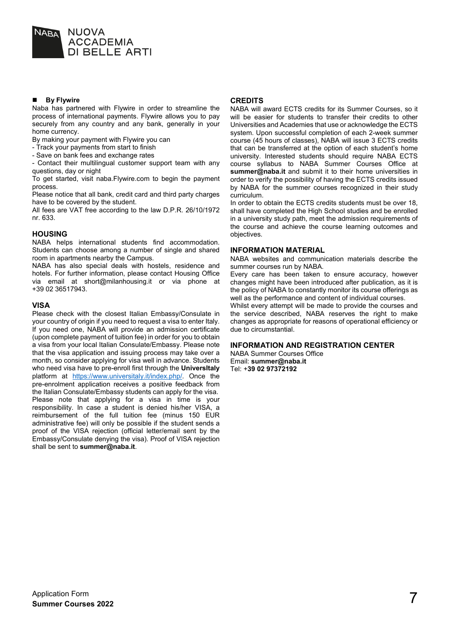

#### **By Flywire**

Naba has partnered with Flywire in order to streamline the process of international payments. Flywire allows you to pay securely from any country and any bank, generally in your home currency.

By making your payment with Flywire you can

- Track your payments from start to finish

- Save on bank fees and exchange rates

- Contact their multilingual customer support team with any questions, day or night

To get started, visit naba.Flywire.com to begin the payment process.

Please notice that all bank, credit card and third party charges have to be covered by the student.

All fees are VAT free according to the law D.P.R. 26/10/1972 nr. 633.

#### **HOUSING**

NABA helps international students find accommodation. Students can choose among a number of single and shared room in apartments nearby the Campus.

NABA has also special deals with hostels, residence and hotels. For further information, please contact Housing Office via email at short@milanhousing.it or via phone at +39 02 36517943.

#### **VISA**

Please check with the closest Italian Embassy/Consulate in your country of origin if you need to request a visa to enter Italy. If you need one, NABA will provide an admission certificate (upon complete payment of tuition fee) in order for you to obtain a visa from your local Italian Consulate/Embassy. Please note that the visa application and issuing process may take over a month, so consider applying for visa well in advance. Students who need visa have to pre-enroll first through the **UniversItaly** platform at [https://www.universitaly.it/index.php/.](https://www.universitaly.it/index.php/) Once the pre-enrolment application receives a positive feedback from the Italian Consulate/Embassy students can apply for the visa. Please note that applying for a visa in time is your responsibility. In case a student is denied his/her VISA, a reimbursement of the full tuition fee (minus 150 EUR administrative fee) will only be possible if the student sends a proof of the VISA rejection (official letter/email sent by the Embassy/Consulate denying the visa). Proof of VISA rejection shall be sent to **summer@naba.it**.

#### **CREDITS**

NABA will award ECTS credits for its Summer Courses, so it will be easier for students to transfer their credits to other Universities and Academies that use or acknowledge the ECTS system. Upon successful completion of each 2-week summer course (45 hours of classes), NABA will issue 3 ECTS credits that can be transferred at the option of each student's home university. Interested students should require NABA ECTS course syllabus to NABA Summer Courses Office at **summer@naba.it** and submit it to their home universities in order to verify the possibility of having the ECTS credits issued by NABA for the summer courses recognized in their study curriculum.

In order to obtain the ECTS credits students must be over 18, shall have completed the High School studies and be enrolled in a university study path, meet the admission requirements of the course and achieve the course learning outcomes and objectives.

#### **INFORMATION MATERIAL**

NABA websites and communication materials describe the summer courses run by NABA.

Every care has been taken to ensure accuracy, however changes might have been introduced after publication, as it is the policy of NABA to constantly monitor its course offerings as well as the performance and content of individual courses.

Whilst every attempt will be made to provide the courses and the service described, NABA reserves the right to make changes as appropriate for reasons of operational efficiency or due to circumstantial.

#### **INFORMATION AND REGISTRATION CENTER**

NABA Summer Courses Office Email: **summer@naba.it** Tel: +**39 02 97372192**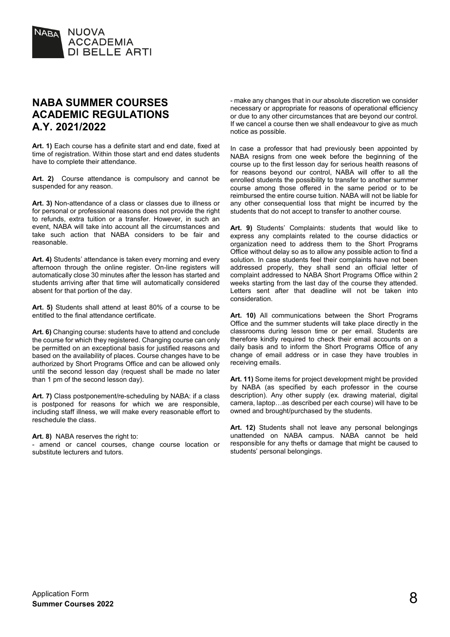

## **NABA SUMMER COURSES ACADEMIC REGULATIONS A.Y. 2021/2022**

**Art. 1)** Each course has a definite start and end date, fixed at time of registration. Within those start and end dates students have to complete their attendance.

**Art. 2)** Course attendance is compulsory and cannot be suspended for any reason.

**Art. 3)** Non-attendance of a class or classes due to illness or for personal or professional reasons does not provide the right to refunds, extra tuition or a transfer. However, in such an event, NABA will take into account all the circumstances and take such action that NABA considers to be fair and reasonable.

**Art. 4)** Students' attendance is taken every morning and every afternoon through the online register. On-line registers will automatically close 30 minutes after the lesson has started and students arriving after that time will automatically considered absent for that portion of the day.

**Art. 5)** Students shall attend at least 80% of a course to be entitled to the final attendance certificate.

**Art. 6)** Changing course: students have to attend and conclude the course for which they registered. Changing course can only be permitted on an exceptional basis for justified reasons and based on the availability of places. Course changes have to be authorized by Short Programs Office and can be allowed only until the second lesson day (request shall be made no later than 1 pm of the second lesson day).

Art. 7) Class postponement/re-scheduling by NABA: if a class is postponed for reasons for which we are responsible, including staff illness, we will make every reasonable effort to reschedule the class.

#### **Art. 8)** NABA reserves the right to:

- amend or cancel courses, change course location or substitute lecturers and tutors.

- make any changes that in our absolute discretion we consider necessary or appropriate for reasons of operational efficiency or due to any other circumstances that are beyond our control. If we cancel a course then we shall endeavour to give as much notice as possible.

In case a professor that had previously been appointed by NABA resigns from one week before the beginning of the course up to the first lesson day for serious health reasons of for reasons beyond our control, NABA will offer to all the enrolled students the possibility to transfer to another summer course among those offered in the same period or to be reimbursed the entire course tuition. NABA will not be liable for any other consequential loss that might be incurred by the students that do not accept to transfer to another course.

**Art. 9)** Students' Complaints: students that would like to express any complaints related to the course didactics or organization need to address them to the Short Programs Office without delay so as to allow any possible action to find a solution. In case students feel their complaints have not been addressed properly, they shall send an official letter of complaint addressed to NABA Short Programs Office within 2 weeks starting from the last day of the course they attended. Letters sent after that deadline will not be taken into consideration.

Art. 10) All communications between the Short Programs Office and the summer students will take place directly in the classrooms during lesson time or per email. Students are therefore kindly required to check their email accounts on a daily basis and to inform the Short Programs Office of any change of email address or in case they have troubles in receiving emails.

**Art. 11)** Some items for project development might be provided by NABA (as specified by each professor in the course description). Any other supply (ex. drawing material, digital camera, laptop…as described per each course) will have to be owned and brought/purchased by the students.

**Art. 12)** Students shall not leave any personal belongings unattended on NABA campus. NABA cannot be held responsible for any thefts or damage that might be caused to students' personal belongings.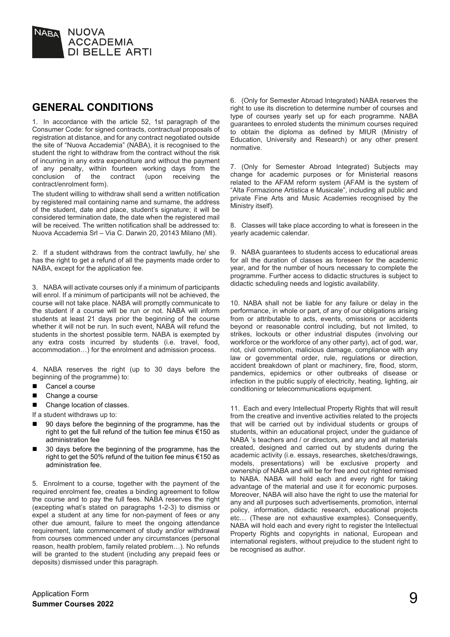

### **GENERAL CONDITIONS**

1. In accordance with the article 52, 1st paragraph of the Consumer Code: for signed contracts, contractual proposals of registration at distance, and for any contract negotiated outside the site of "Nuova Accademia" (NABA), it is recognised to the student the right to withdraw from the contract without the risk of incurring in any extra expenditure and without the payment of any penalty, within fourteen working days from the conclusion of the contract (upon receiving the contract (upon contract/enrolment form).

The student willing to withdraw shall send a written notification by registered mail containing name and surname, the address of the student, date and place, student's signature; it will be considered termination date, the date when the registered mail will be received. The written notification shall be addressed to: Nuova Accademia Srl – Via C. Darwin 20, 20143 Milano (MI).

2. If a student withdraws from the contract lawfully, he/ she has the right to get a refund of all the payments made order to NABA, except for the application fee.

3. NABA will activate courses only if a minimum of participants will enrol. If a minimum of participants will not be achieved, the course will not take place. NABA will promptly communicate to the student if a course will be run or not. NABA will inform students at least 21 days prior the beginning of the course whether it will not be run. In such event, NABA will refund the students in the shortest possible term. NABA is exempted by any extra costs incurred by students (i.e. travel, food, accommodation…) for the enrolment and admission process.

4. NABA reserves the right (up to 30 days before the beginning of the programme) to:

- Cancel a course
- Change a course
- Change location of classes.

If a student withdraws up to:

- 90 days before the beginning of the programme, has the right to get the full refund of the tuition fee minus €150 as administration fee
- 30 days before the beginning of the programme, has the right to get the 50% refund of the tuition fee minus €150 as administration fee.

5. Enrolment to a course, together with the payment of the required enrolment fee, creates a binding agreement to follow the course and to pay the full fees. NABA reserves the right (excepting what's stated on paragraphs 1-2-3) to dismiss or expel a student at any time for non-payment of fees or any other due amount, failure to meet the ongoing attendance requirement, late commencement of study and/or withdrawal from courses commenced under any circumstances (personal reason, health problem, family related problem…). No refunds will be granted to the student (including any prepaid fees or deposits) dismissed under this paragraph.

6. (Only for Semester Abroad Integrated) NABA reserves the right to use its discretion to determine number of courses and type of courses yearly set up for each programme. NABA guarantees to enroled students the minimum courses required to obtain the diploma as defined by MIUR (Ministry of Education, University and Research) or any other present normative.

7. (Only for Semester Abroad Integrated) Subjects may change for academic purposes or for Ministerial reasons related to the AFAM reform system (AFAM is the system of "Alta Formazione Artistica e Musicale", including all public and private Fine Arts and Music Academies recognised by the Ministry itself).

8. Classes will take place according to what is foreseen in the yearly academic calendar.

9. NABA guarantees to students access to educational areas for all the duration of classes as foreseen for the academic year, and for the number of hours necessary to complete the programme. Further access to didactic structures is subject to didactic scheduling needs and logistic availability.

10. NABA shall not be liable for any failure or delay in the performance, in whole or part, of any of our obligations arising from or attributable to acts, events, omissions or accidents beyond or reasonable control including, but not limited, to strikes, lockouts or other industrial disputes (involving our workforce or the workforce of any other party), act of god, war, riot, civil commotion, malicious damage, compliance with any law or governmental order, rule, regulations or direction, accident breakdown of plant or machinery, fire, flood, storm, pandemics, epidemics or other outbreaks of disease or infection in the public supply of electricity, heating, lighting, air conditioning or telecommunications equipment.

11. Each and every Intellectual Property Rights that will result from the creative and inventive activities related to the projects that will be carried out by individual students or groups of students, within an educational project, under the guidance of NABA 's teachers and / or directors, and any and all materials created, designed and carried out by students during the academic activity (i.e. essays, researches, sketches/drawings, models, presentations) will be exclusive property and ownership of NABA and will be for free and out righted remised to NABA. NABA will hold each and every right for taking advantage of the material and use it for economic purposes. Moreover, NABA will also have the right to use the material for any and all purposes such advertisements, promotion, internal policy, information, didactic research, educational projects etc… (These are not exhaustive examples). Consequently, NABA will hold each and every right to register the Intellectual Property Rights and copyrights in national, European and international registers, without prejudice to the student right to be recognised as author.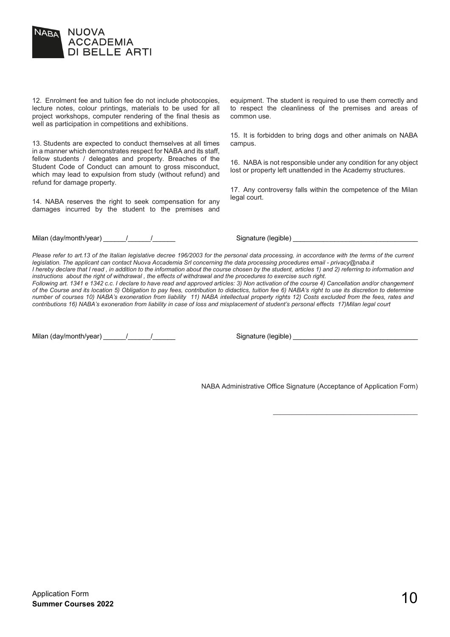

12. Enrolment fee and tuition fee do not include photocopies, lecture notes, colour printings, materials to be used for all project workshops, computer rendering of the final thesis as well as participation in competitions and exhibitions.

13. Students are expected to conduct themselves at all times in a manner which demonstrates respect for NABA and its staff, fellow students / delegates and property. Breaches of the Student Code of Conduct can amount to gross misconduct, which may lead to expulsion from study (without refund) and refund for damage property.

14. NABA reserves the right to seek compensation for any damages incurred by the student to the premises and

Milan (day/month/year) \_\_\_\_\_\_/\_\_\_\_\_\_/\_\_\_\_\_\_ Signature (legible) \_\_\_\_\_\_\_\_\_\_\_\_\_\_\_\_\_\_\_\_\_\_\_\_\_\_\_\_\_\_\_\_\_

equipment. The student is required to use them correctly and to respect the cleanliness of the premises and areas of common use.

15. It is forbidden to bring dogs and other animals on NABA campus.

16. NABA is not responsible under any condition for any object lost or property left unattended in the Academy structures.

17. Any controversy falls within the competence of the Milan legal court.

*Please refer to art.13 of the Italian legislative decree 196/2003 for the personal data processing, in accordance with the terms of the current legislation. The applicant can contact Nuova Accademia Srl concerning the data processing procedures email - privacy@naba.it I* hereby declare that I read, in addition to the information about the course chosen by the student, articles 1) and 2) referring to information and *instructions about the right of withdrawal , the effects of withdrawal and the procedures to exercise such right.*

*Following art. 1341 e 1342 c.c. I declare to have read and approved articles: 3) Non activation of the course 4) Cancellation and/or changement of the Course and its location 5) Obligation to pay fees, contribution to didactics, tuition fee 6) NABA's right to use its discretion to determine number of courses 10) NABA's exoneration from liability 11) NABA intellectual property rights 12) Costs excluded from the fees, rates and contributions 16) NABA's exoneration from liability in case of loss and misplacement of student's personal effects 17)Milan legal court*

Milan (day/month/year) \_\_\_\_\_\_/\_\_\_\_\_\_/\_\_\_\_\_\_ Signature (legible) \_\_\_\_\_\_\_\_\_\_\_\_\_\_\_\_\_\_\_\_\_\_\_\_\_\_\_\_\_\_\_\_\_

NABA Administrative Office Signature (Acceptance of Application Form)

\_\_\_\_\_\_\_\_\_\_\_\_\_\_\_\_\_\_\_\_\_\_\_\_\_\_\_\_\_\_\_\_\_\_\_\_\_\_\_\_\_\_\_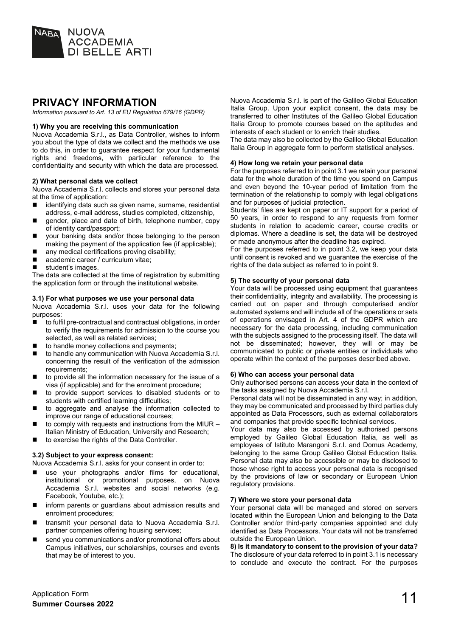

## **PRIVACY INFORMATION**

*Information pursuant to Art. 13 of EU Regulation 679/16 (GDPR)*

#### **1) Why you are receiving this communication**

Nuova Accademia S.r.l., as Data Controller, wishes to inform you about the type of data we collect and the methods we use to do this, in order to guarantee respect for your fundamental rights and freedoms, with particular reference to the confidentiality and security with which the data are processed.

#### **2) What personal data we collect**

Nuova Accademia S.r.l. collects and stores your personal data at the time of application:

- identifying data such as given name, surname, residential address, e-mail address, studies completed, citizenship,
- **E** gender, place and date of birth, telephone number, copy of identity card/passport;
- your banking data and/or those belonging to the person making the payment of the application fee (if applicable);
- $\blacksquare$  any medical certifications proving disability;
- academic career / curriculum vitae;<br>■ student's images
- student's images.

The data are collected at the time of registration by submitting the application form or through the institutional website.

#### **3.1) For what purposes we use your personal data**

Nuova Accademia S.r.l. uses your data for the following purposes:

- to fulfil pre-contractual and contractual obligations, in order to verify the requirements for admission to the course you selected, as well as related services;
- $\blacksquare$  to handle money collections and payments;<br> $\blacksquare$  to handle any communication with Nuova Ad
- to handle any communication with Nuova Accademia S.r.l. concerning the result of the verification of the admission requirements:
- to provide all the information necessary for the issue of a visa (if applicable) and for the enrolment procedure;
- to provide support services to disabled students or to students with certified learning difficulties;
- to aggregate and analyse the information collected to improve our range of educational courses;
- $\blacksquare$  to comply with requests and instructions from the MIUR Italian Ministry of Education, University and Research;
- to exercise the rights of the Data Controller.

#### **3.2) Subject to your express consent:**

Nuova Accademia S.r.l. asks for your consent in order to:

- use your photographs and/or films for educational, institutional or promotional purposes, on Nuova Accademia S.r.l. websites and social networks (e.g. Facebook, Youtube, etc.);
- inform parents or quardians about admission results and enrolment procedures;
- transmit your personal data to Nuova Accademia S.r.l. partner companies offering housing services;
- send you communications and/or promotional offers about Campus initiatives, our scholarships, courses and events that may be of interest to you.

Nuova Accademia S.r.l. is part of the Galileo Global Education Italia Group. Upon your explicit consent, the data may be transferred to other Institutes of the Galileo Global Education Italia Group to promote courses based on the aptitudes and interests of each student or to enrich their studies.

The data may also be collected by the Galileo Global Education Italia Group in aggregate form to perform statistical analyses.

#### **4) How long we retain your personal data**

For the purposes referred to in point 3.1 we retain your personal data for the whole duration of the time you spend on Campus and even beyond the 10-year period of limitation from the termination of the relationship to comply with legal obligations and for purposes of judicial protection.

Students' files are kept on paper or IT support for a period of 50 years, in order to respond to any requests from former students in relation to academic career, course credits or diplomas. Where a deadline is set, the data will be destroyed or made anonymous after the deadline has expired.

For the purposes referred to in point 3.2, we keep your data until consent is revoked and we guarantee the exercise of the rights of the data subject as referred to in point 9.

#### **5) The security of your personal data**

Your data will be processed using equipment that guarantees their confidentiality, integrity and availability. The processing is carried out on paper and through computerised and/or automated systems and will include all of the operations or sets of operations envisaged in Art. 4 of the GDPR which are necessary for the data processing, including communication with the subjects assigned to the processing itself. The data will not be disseminated; however, they will or may be communicated to public or private entities or individuals who operate within the context of the purposes described above.

#### **6) Who can access your personal data**

Only authorised persons can access your data in the context of the tasks assigned by Nuova Accademia S.r.l.

Personal data will not be disseminated in any way; in addition, they may be communicated and processed by third parties duly appointed as Data Processors, such as external collaborators and companies that provide specific technical services.

Your data may also be accessed by authorised persons employed by Galileo Global Education Italia, as well as employees of Istituto Marangoni S.r.l. and Domus Academy, belonging to the same Group Galileo Global Education Italia. Personal data may also be accessible or may be disclosed to those whose right to access your personal data is recognised by the provisions of law or secondary or European Union regulatory provisions.

#### **7) Where we store your personal data**

Your personal data will be managed and stored on servers located within the European Union and belonging to the Data Controller and/or third-party companies appointed and duly identified as Data Processors. Your data will not be transferred outside the European Union.

**8) Is it mandatory to consent to the provision of your data?** The disclosure of your data referred to in point 3.1 is necessary to conclude and execute the contract. For the purposes